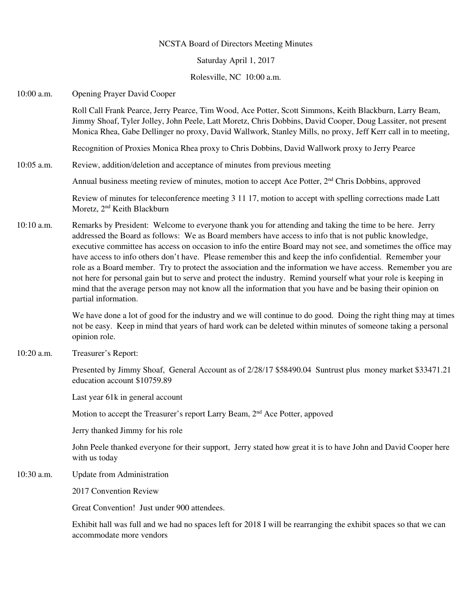### NCSTA Board of Directors Meeting Minutes

Saturday April 1, 2017

Rolesville, NC 10:00 a.m.

10:00 a.m. Opening Prayer David Cooper

Roll Call Frank Pearce, Jerry Pearce, Tim Wood, Ace Potter, Scott Simmons, Keith Blackburn, Larry Beam, Jimmy Shoaf, Tyler Jolley, John Peele, Latt Moretz, Chris Dobbins, David Cooper, Doug Lassiter, not present Monica Rhea, Gabe Dellinger no proxy, David Wallwork, Stanley Mills, no proxy, Jeff Kerr call in to meeting,

Recognition of Proxies Monica Rhea proxy to Chris Dobbins, David Wallwork proxy to Jerry Pearce

10:05 a.m. Review, addition/deletion and acceptance of minutes from previous meeting

Annual business meeting review of minutes, motion to accept Ace Potter, 2<sup>nd</sup> Chris Dobbins, approved

 Review of minutes for teleconference meeting 3 11 17, motion to accept with spelling corrections made Latt Moretz, 2nd Keith Blackburn

10:10 a.m. Remarks by President: Welcome to everyone thank you for attending and taking the time to be here. Jerry addressed the Board as follows: We as Board members have access to info that is not public knowledge, executive committee has access on occasion to info the entire Board may not see, and sometimes the office may have access to info others don't have. Please remember this and keep the info confidential. Remember your role as a Board member. Try to protect the association and the information we have access. Remember you are not here for personal gain but to serve and protect the industry. Remind yourself what your role is keeping in mind that the average person may not know all the information that you have and be basing their opinion on partial information.

> We have done a lot of good for the industry and we will continue to do good. Doing the right thing may at times not be easy. Keep in mind that years of hard work can be deleted within minutes of someone taking a personal opinion role.

10:20 a.m. Treasurer's Report:

 Presented by Jimmy Shoaf, General Account as of 2/28/17 \$58490.04 Suntrust plus money market \$33471.21 education account \$10759.89

Last year 61k in general account

Motion to accept the Treasurer's report Larry Beam, 2<sup>nd</sup> Ace Potter, appoved

Jerry thanked Jimmy for his role

 John Peele thanked everyone for their support, Jerry stated how great it is to have John and David Cooper here with us today

10:30 a.m. Update from Administration

2017 Convention Review

Great Convention! Just under 900 attendees.

Exhibit hall was full and we had no spaces left for 2018 I will be rearranging the exhibit spaces so that we can accommodate more vendors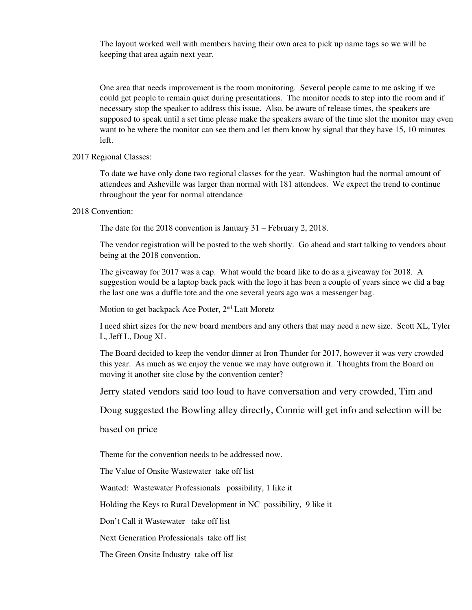The layout worked well with members having their own area to pick up name tags so we will be keeping that area again next year.

One area that needs improvement is the room monitoring. Several people came to me asking if we could get people to remain quiet during presentations. The monitor needs to step into the room and if necessary stop the speaker to address this issue. Also, be aware of release times, the speakers are supposed to speak until a set time please make the speakers aware of the time slot the monitor may even want to be where the monitor can see them and let them know by signal that they have 15, 10 minutes left.

### 2017 Regional Classes:

To date we have only done two regional classes for the year. Washington had the normal amount of attendees and Asheville was larger than normal with 181 attendees. We expect the trend to continue throughout the year for normal attendance

#### 2018 Convention:

The date for the 2018 convention is January 31 – February 2, 2018.

The vendor registration will be posted to the web shortly. Go ahead and start talking to vendors about being at the 2018 convention.

The giveaway for 2017 was a cap. What would the board like to do as a giveaway for 2018. A suggestion would be a laptop back pack with the logo it has been a couple of years since we did a bag the last one was a duffle tote and the one several years ago was a messenger bag.

Motion to get backpack Ace Potter, 2<sup>nd</sup> Latt Moretz

I need shirt sizes for the new board members and any others that may need a new size. Scott XL, Tyler L, Jeff L, Doug XL

The Board decided to keep the vendor dinner at Iron Thunder for 2017, however it was very crowded this year. As much as we enjoy the venue we may have outgrown it. Thoughts from the Board on moving it another site close by the convention center?

Jerry stated vendors said too loud to have conversation and very crowded, Tim and

Doug suggested the Bowling alley directly, Connie will get info and selection will be

based on price

Theme for the convention needs to be addressed now.

The Value of Onsite Wastewater take off list

Wanted: Wastewater Professionals possibility, 1 like it

Holding the Keys to Rural Development in NC possibility, 9 like it

Don't Call it Wastewater take off list

Next Generation Professionals take off list

The Green Onsite Industry take off list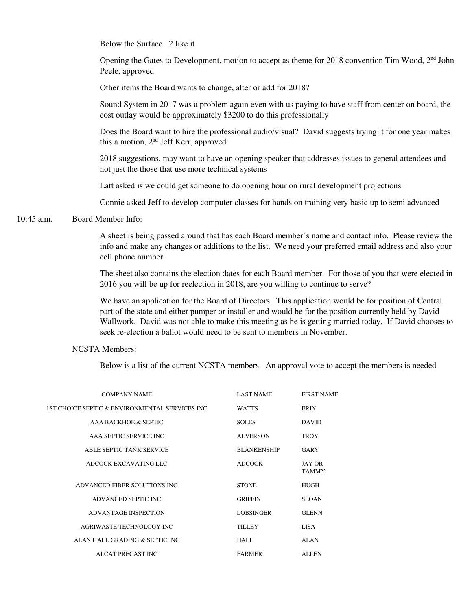Below the Surface 2 like it

Opening the Gates to Development, motion to accept as theme for 2018 convention Tim Wood, 2<sup>nd</sup> John Peele, approved

Other items the Board wants to change, alter or add for 2018?

Sound System in 2017 was a problem again even with us paying to have staff from center on board, the cost outlay would be approximately \$3200 to do this professionally

Does the Board want to hire the professional audio/visual? David suggests trying it for one year makes this a motion, 2nd Jeff Kerr, approved

2018 suggestions, may want to have an opening speaker that addresses issues to general attendees and not just the those that use more technical systems

Latt asked is we could get someone to do opening hour on rural development projections

Connie asked Jeff to develop computer classes for hands on training very basic up to semi advanced

# 10:45 a.m. Board Member Info:

A sheet is being passed around that has each Board member's name and contact info. Please review the info and make any changes or additions to the list. We need your preferred email address and also your cell phone number.

The sheet also contains the election dates for each Board member. For those of you that were elected in 2016 you will be up for reelection in 2018, are you willing to continue to serve?

We have an application for the Board of Directors. This application would be for position of Central part of the state and either pumper or installer and would be for the position currently held by David Wallwork. David was not able to make this meeting as he is getting married today. If David chooses to seek re-election a ballot would need to be sent to members in November.

# NCSTA Members:

Below is a list of the current NCSTA members. An approval vote to accept the members is needed

| <b>COMPANY NAME</b>                             | <b>LAST NAME</b>   | <b>FIRST NAME</b>      |
|-------------------------------------------------|--------------------|------------------------|
| 1ST CHOICE SEPTIC & ENVIRONMENTAL SERVICES INC. | <b>WATTS</b>       | <b>ERIN</b>            |
| AAA BACKHOE & SEPTIC                            | <b>SOLES</b>       | <b>DAVID</b>           |
| AAA SEPTIC SERVICE INC                          | <b>ALVERSON</b>    | <b>TROY</b>            |
| ABLE SEPTIC TANK SERVICE                        | <b>BLANKENSHIP</b> | GARY                   |
| ADCOCK EXCAVATING LLC                           | <b>ADCOCK</b>      | JAY OR<br><b>TAMMY</b> |
| ADVANCED FIBER SOLUTIONS INC.                   | <b>STONE</b>       | HUGH                   |
| ADVANCED SEPTIC INC                             | <b>GRIFFIN</b>     | <b>SLOAN</b>           |
| ADVANTAGE INSPECTION                            | <b>LOBSINGER</b>   | <b>GLENN</b>           |
| AGRIWASTE TECHNOLOGY INC                        | <b>TILLEY</b>      | LISA.                  |
| ALAN HALL GRADING & SEPTIC INC.                 | HALL.              | <b>ALAN</b>            |
| ALCAT PRECAST INC                               | <b>FARMER</b>      | <b>ALLEN</b>           |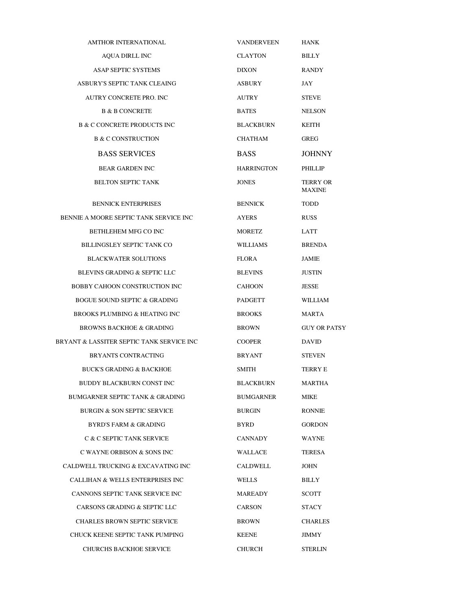| <b>AMTHOR INTERNATIONAL</b>                 | <b>VANDERVEEN</b> | <b>HANK</b>               |
|---------------------------------------------|-------------------|---------------------------|
| <b>AQUA DIRLL INC</b>                       | <b>CLAYTON</b>    | <b>BILLY</b>              |
| <b>ASAP SEPTIC SYSTEMS</b>                  | <b>DIXON</b>      | <b>RANDY</b>              |
| ASBURY'S SEPTIC TANK CLEAING                | <b>ASBURY</b>     | JAY                       |
| AUTRY CONCRETE PRO. INC                     | <b>AUTRY</b>      | <b>STEVE</b>              |
| <b>B &amp; B CONCRETE</b>                   | <b>BATES</b>      | <b>NELSON</b>             |
| <b>B &amp; C CONCRETE PRODUCTS INC</b>      | <b>BLACKBURN</b>  | KEITH                     |
| <b>B &amp; C CONSTRUCTION</b>               | CHATHAM           | <b>GREG</b>               |
| <b>BASS SERVICES</b>                        | <b>BASS</b>       | <b>JOHNNY</b>             |
| <b>BEAR GARDEN INC</b>                      | <b>HARRINGTON</b> | PHILLIP                   |
| <b>BELTON SEPTIC TANK</b>                   | <b>JONES</b>      | TERRY OR<br><b>MAXINE</b> |
| <b>BENNICK ENTERPRISES</b>                  | <b>BENNICK</b>    | <b>TODD</b>               |
| BENNIE A MOORE SEPTIC TANK SERVICE INC      | <b>AYERS</b>      | <b>RUSS</b>               |
| BETHLEHEM MFG CO INC                        | MORETZ            | LATT                      |
| <b>BILLINGSLEY SEPTIC TANK CO</b>           | <b>WILLIAMS</b>   | <b>BRENDA</b>             |
| <b>BLACKWATER SOLUTIONS</b>                 | <b>FLORA</b>      | JAMIE                     |
| BLEVINS GRADING & SEPTIC LLC                | <b>BLEVINS</b>    | <b>JUSTIN</b>             |
| BOBBY CAHOON CONSTRUCTION INC               | <b>CAHOON</b>     | <b>JESSE</b>              |
| <b>BOGUE SOUND SEPTIC &amp; GRADING</b>     | <b>PADGETT</b>    | <b>WILLIAM</b>            |
| <b>BROOKS PLUMBING &amp; HEATING INC</b>    | <b>BROOKS</b>     | MARTA                     |
| <b>BROWNS BACKHOE &amp; GRADING</b>         | <b>BROWN</b>      | <b>GUY OR PATSY</b>       |
| BRYANT & LASSITER SEPTIC TANK SERVICE INC   | <b>COOPER</b>     | <b>DAVID</b>              |
| <b>BRYANTS CONTRACTING</b>                  | BRYANT            | <b>STEVEN</b>             |
| <b>BUCK'S GRADING &amp; BACKHOE</b>         | SMITH             | <b>TERRY E</b>            |
| BUDDY BLACKBURN CONST INC                   | <b>BLACKBURN</b>  | <b>MARTHA</b>             |
| BUMGARNER SEPTIC TANK & GRADING             | BUMGARNER         | MIKE                      |
| BURGIN & SON SEPTIC SERVICE                 | BURGIN            | <b>RONNIE</b>             |
| <b>BYRD'S FARM &amp; GRADING</b>            | BYRD              | <b>GORDON</b>             |
| C & C SEPTIC TANK SERVICE                   | <b>CANNADY</b>    | WAYNE                     |
| C WAYNE ORBISON & SONS INC                  | WALLACE           | TERESA                    |
| CALDWELL TRUCKING & EXCAVATING INC          | CALDWELL          | <b>JOHN</b>               |
| <b>CALLIHAN &amp; WELLS ENTERPRISES INC</b> | <b>WELLS</b>      | <b>BILLY</b>              |
| CANNONS SEPTIC TANK SERVICE INC             | MAREADY           | <b>SCOTT</b>              |
| CARSONS GRADING & SEPTIC LLC                | CARSON            | STACY                     |
| <b>CHARLES BROWN SEPTIC SERVICE</b>         | BROWN             | <b>CHARLES</b>            |
| CHUCK KEENE SEPTIC TANK PUMPING             | KEENE             | JIMMY                     |
| <b>CHURCHS BACKHOE SERVICE</b>              | CHURCH            | <b>STERLIN</b>            |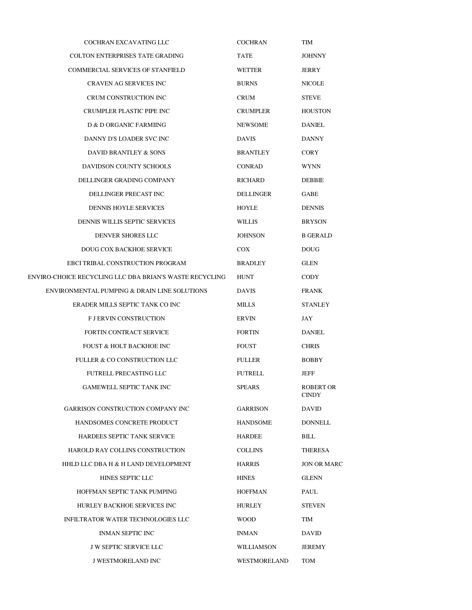| <b>COCHRAN EXCAVATING LLC</b>                           | <b>COCHRAN</b>   | TIM                       |
|---------------------------------------------------------|------------------|---------------------------|
| <b>COLTON ENTERPRISES TATE GRADING</b>                  | TATE             | <b>JOHNNY</b>             |
| COMMERCIAL SERVICES OF STANFIELD                        | WETTER           | JERRY                     |
| <b>CRAVEN AG SERVICES INC</b>                           | <b>BURNS</b>     | NICOLE                    |
| CRUM CONSTRUCTION INC                                   | <b>CRUM</b>      | <b>STEVE</b>              |
| CRUMPLER PLASTIC PIPE INC                               | <b>CRUMPLER</b>  | <b>HOUSTON</b>            |
| D & D ORGANIC FARMIING                                  | <b>NEWSOME</b>   | <b>DANIEL</b>             |
| DANNY D'S LOADER SVC INC                                | <b>DAVIS</b>     | <b>DANNY</b>              |
| DAVID BRANTLEY & SONS                                   | <b>BRANTLEY</b>  | <b>CORY</b>               |
| DAVIDSON COUNTY SCHOOLS                                 | <b>CONRAD</b>    | <b>WYNN</b>               |
| DELLINGER GRADING COMPANY                               | RICHARD          | <b>DEBBIE</b>             |
| DELLINGER PRECAST INC                                   | <b>DELLINGER</b> | GABE                      |
| <b>DENNIS HOYLE SERVICES</b>                            | HOYLE            | <b>DENNIS</b>             |
| DENNIS WILLIS SEPTIC SERVICES                           | <b>WILLIS</b>    | <b>BRYSON</b>             |
| DENVER SHORES LLC                                       | <b>JOHNSON</b>   | <b>B GERALD</b>           |
| <b>DOUG COX BACKHOE SERVICE</b>                         | COX.             | <b>DOUG</b>               |
| EBCI TRIBAL CONSTRUCTION PROGRAM                        | <b>BRADLEY</b>   | <b>GLEN</b>               |
| ENVIRO-CHOICE RECYCLING LLC DBA BRIAN'S WASTE RECYCLING | HUNT             | <b>CODY</b>               |
| ENVIRONMENTAL PUMPING & DRAIN LINE SOLUTIONS            | <b>DAVIS</b>     | <b>FRANK</b>              |
| ERADER MILLS SEPTIC TANK CO INC                         | <b>MILLS</b>     | <b>STANLEY</b>            |
| <b>F J ERVIN CONSTRUCTION</b>                           | <b>ERVIN</b>     | JAY                       |
| <b>FORTIN CONTRACT SERVICE</b>                          | <b>FORTIN</b>    | DANIEL                    |
| FOUST & HOLT BACKHOE INC                                | <b>FOUST</b>     | <b>CHRIS</b>              |
| FULLER & CO CONSTRUCTION LLC                            | FULLER           | <b>BOBBY</b>              |
| FUTRELL PRECASTING LLC                                  | <b>FUTRELL</b>   | JEFF                      |
| GAMEWELL SEPTIC TANK INC                                | SPEARS           | ROBERT OR<br><b>CINDY</b> |
| GARRISON CONSTRUCTION COMPANY INC                       | GARRISON         | <b>DAVID</b>              |
| HANDSOMES CONCRETE PRODUCT                              | <b>HANDSOME</b>  | <b>DONNELL</b>            |
| HARDEES SEPTIC TANK SERVICE                             | HARDEE           | BILL                      |
| HAROLD RAY COLLINS CONSTRUCTION                         | <b>COLLINS</b>   | <b>THERESA</b>            |
| HHLD LLC DBA H & H LAND DEVELOPMENT                     | HARRIS           | <b>JON OR MARC</b>        |
| HINES SEPTIC LLC                                        | <b>HINES</b>     | <b>GLENN</b>              |
| HOFFMAN SEPTIC TANK PUMPING                             | HOFFMAN          | PAUL                      |
| HURLEY BACKHOE SERVICES INC                             | HURLEY           | <b>STEVEN</b>             |
| INFILTRATOR WATER TECHNOLOGIES LLC                      | <b>WOOD</b>      | TIM                       |
| <b>INMAN SEPTIC INC</b>                                 | INMAN            | DAVID                     |
| J W SEPTIC SERVICE LLC                                  | WILLIAMSON       | JEREMY                    |
| J WESTMORELAND INC                                      | WESTMORELAND     | TOM                       |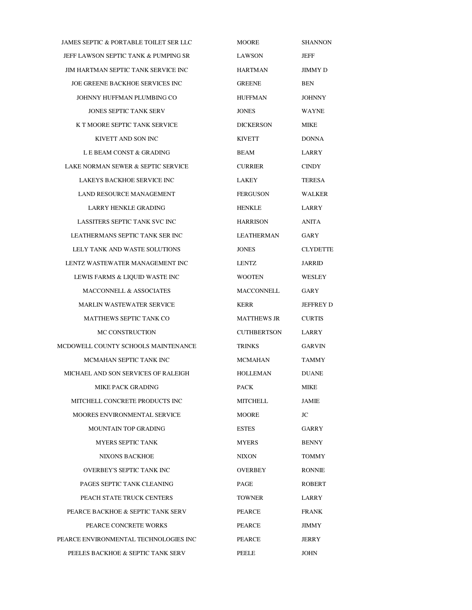JAMES SEPTIC & PORTABLE TOILET SER LLC MOORE SHANNON JEFF LAWSON SEPTIC TANK & PUMPING SR LAWSON JEFF JIM HARTMAN SEPTIC TANK SERVICE INC HARTMAN JIMMY D JOE GREENE BACKHOE SERVICES INC GREENE GREENE BEN JOHNNY HUFFMAN PLUMBING CO HUFFMAN JOHNNY JONES SEPTIC TANK SERV JONES WAYNE K T MOORE SEPTIC TANK SERVICE DICKERSON MIKE KIVETT AND SON INC KIVETT DONNA L E BEAM CONST & GRADING BEAM BEAM LARRY LAKE NORMAN SEWER & SEPTIC SERVICE CURRIER CINDY LAKEYS BACKHOE SERVICE INC LAKEY TERESA LAND RESOURCE MANAGEMENT FERGUSON WALKER LARRY HENKLE GRADING **HENKLE** LARRY LASSITERS SEPTIC TANK SVC INC FOR THARRISON ANITA LEATHERMANS SEPTIC TANK SER INC LEATHERMAN GARY LELY TANK AND WASTE SOLUTIONS JONES CLYDETTE LENTZ WASTEWATER MANAGEMENT INC LENTZ JARRID LEWIS FARMS & LIQUID WASTE INC WOOTEN WESLEY MACCONNELL & ASSOCIATES MACCONNELL GARY MARLIN WASTEWATER SERVICE KERR JEFFREY D MATTHEWS SEPTIC TANK CO MATTHEWS JR CURTIS MC CONSTRUCTION CUTHBERTSON LARRY MCDOWELL COUNTY SCHOOLS MAINTENANCE TRINKS GARVIN MCMAHAN SEPTIC TANK INC $\,$   $\,$   $\,$  MCMAHAN  $\,$   $\,$  TAMMY MICHAEL AND SON SERVICES OF RALEIGH HOLLEMAN DUANE MIKE PACK GRADING PACK PACK MIKE MITCHELL CONCRETE PRODUCTS INC **MITCHELL** JAMIE MOORES ENVIRONMENTAL SERVICE MOORE MOORE JC MOUNTAIN TOP GRADING ESTES GARRY MYERS SEPTIC TANK MYERS BENNY NIXONS BACKHOE NIXON NIXON TOMMY OVERBEY'S SEPTIC TANK INC OVERBEY RONNIE PAGES SEPTIC TANK CLEANING PAGE PAGE ROBERT PEACH STATE TRUCK CENTERS TOWNER LARRY PEARCE BACKHOE & SEPTIC TANK SERV PEARCE FRANK PEARCE CONCRETE WORKS PEARCE JIMMY PEARCE ENVIRONMENTAL TECHNOLOGIES INC PEARCE JERRY PEELES BACKHOE & SEPTIC TANK SERV PEELE JOHN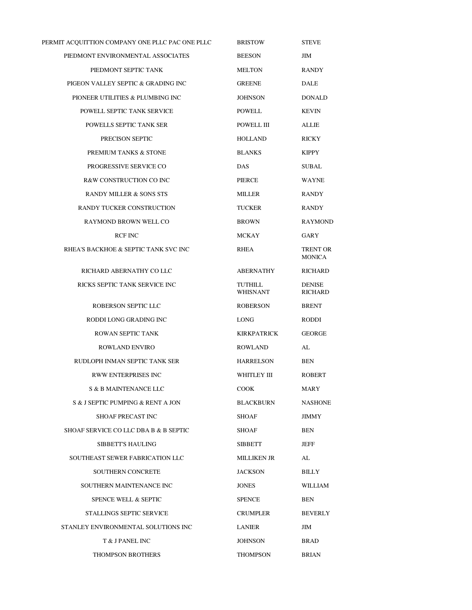| PERMIT ACQUITTION COMPANY ONE PLLC PAC ONE PLLC | <b>BRISTOW</b>             | <b>STEVE</b>                    |
|-------------------------------------------------|----------------------------|---------------------------------|
| PIEDMONT ENVIRONMENTAL ASSOCIATES               | <b>BEESON</b>              | JIM                             |
| PIEDMONT SEPTIC TANK                            | MELTON                     | <b>RANDY</b>                    |
| PIGEON VALLEY SEPTIC & GRADING INC              | <b>GREENE</b>              | <b>DALE</b>                     |
| PIONEER UTILITIES & PLUMBING INC                | <b>JOHNSON</b>             | <b>DONALD</b>                   |
| POWELL SEPTIC TANK SERVICE                      | <b>POWELL</b>              | <b>KEVIN</b>                    |
| POWELLS SEPTIC TANK SER                         | POWELL III                 | <b>ALLIE</b>                    |
| PRECISON SEPTIC                                 | <b>HOLLAND</b>             | <b>RICKY</b>                    |
| PREMIUM TANKS & STONE                           | <b>BLANKS</b>              | <b>KIPPY</b>                    |
| PROGRESSIVE SERVICE CO                          | <b>DAS</b>                 | <b>SUBAL</b>                    |
| R&W CONSTRUCTION CO INC                         | PIERCE                     | <b>WAYNE</b>                    |
| <b>RANDY MILLER &amp; SONS STS</b>              | <b>MILLER</b>              | <b>RANDY</b>                    |
| RANDY TUCKER CONSTRUCTION                       | <b>TUCKER</b>              | <b>RANDY</b>                    |
| RAYMOND BROWN WELL CO                           | <b>BROWN</b>               | <b>RAYMOND</b>                  |
| <b>RCF INC</b>                                  | MCKAY                      | GARY                            |
| RHEA'S BACKHOE & SEPTIC TANK SVC INC            | RHEA                       | TRENT OR<br><b>MONICA</b>       |
| RICHARD ABERNATHY CO LLC                        | ABERNATHY                  | RICHARD                         |
| RICKS SEPTIC TANK SERVICE INC                   | TUTHILL<br><b>WHISNANT</b> | <b>DENISE</b><br><b>RICHARD</b> |
| ROBERSON SEPTIC LLC                             | <b>ROBERSON</b>            | <b>BRENT</b>                    |
| RODDI LONG GRADING INC                          | LONG                       | RODDI                           |
| ROWAN SEPTIC TANK                               | <b>KIRKPATRICK</b>         | <b>GEORGE</b>                   |
| <b>ROWLAND ENVIRO</b>                           | <b>ROWLAND</b>             | AL                              |
| RUDLOPH INMAN SEPTIC TANK SER                   | <b>HARRELSON</b>           | BEN                             |
| <b>RWW ENTERPRISES INC</b>                      | WHITLEY III                | ROBERT                          |
| <b>S &amp; B MAINTENANCE LLC</b>                | <b>COOK</b>                | MARY                            |
| S & J SEPTIC PUMPING & RENT A JON               | <b>BLACKBURN</b>           | <b>NASHONE</b>                  |
| <b>SHOAF PRECAST INC</b>                        | SHOAF                      | JIMMY                           |
| SHOAF SERVICE CO LLC DBA B & B SEPTIC           | SHOAF                      | BEN                             |
| SIBBETT'S HAULING                               | SIBBETT                    | <b>JEFF</b>                     |
| SOUTHEAST SEWER FABRICATION LLC                 | MILLIKEN JR                | AL                              |
| <b>SOUTHERN CONCRETE</b>                        | <b>JACKSON</b>             | <b>BILLY</b>                    |
| SOUTHERN MAINTENANCE INC                        | <b>JONES</b>               | <b>WILLIAM</b>                  |
| <b>SPENCE WELL &amp; SEPTIC</b>                 | <b>SPENCE</b>              | BEN                             |
| STALLINGS SEPTIC SERVICE                        | CRUMPLER                   | <b>BEVERLY</b>                  |
| STANLEY ENVIRONMENTAL SOLUTIONS INC             | LANIER                     | JIM                             |
| T & J PANEL INC                                 | JOHNSON                    | BRAD                            |
| <b>THOMPSON BROTHERS</b>                        | THOMPSON                   | <b>BRIAN</b>                    |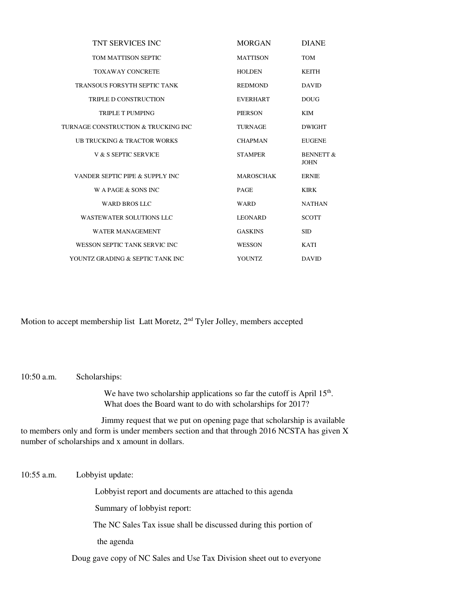| <b>TNT SERVICES INC</b>              | <b>MORGAN</b>    | <b>DIANE</b>                        |
|--------------------------------------|------------------|-------------------------------------|
| TOM MATTISON SEPTIC                  | <b>MATTISON</b>  | <b>TOM</b>                          |
| <b>TOXAWAY CONCRETE</b>              | <b>HOLDEN</b>    | <b>KEITH</b>                        |
| TRANSOUS FORSYTH SEPTIC TANK         | <b>REDMOND</b>   | <b>DAVID</b>                        |
| <b>TRIPLE D CONSTRUCTION</b>         | <b>EVERHART</b>  | <b>DOUG</b>                         |
| <b>TRIPLE T PUMPING</b>              | <b>PIERSON</b>   | <b>KIM</b>                          |
| TURNAGE CONSTRUCTION & TRUCKING INC. | <b>TURNAGE</b>   | <b>DWIGHT</b>                       |
| UB TRUCKING & TRACTOR WORKS          | <b>CHAPMAN</b>   | <b>EUGENE</b>                       |
| V & S SEPTIC SERVICE                 | <b>STAMPER</b>   | <b>BENNETT &amp;</b><br><b>JOHN</b> |
| VANDER SEPTIC PIPE & SUPPLY INC      | <b>MAROSCHAK</b> | <b>ERNIE</b>                        |
| W A PAGE $&$ SONS INC.               | <b>PAGE</b>      | <b>KIRK</b>                         |
| <b>WARD BROS LLC</b>                 | <b>WARD</b>      | <b>NATHAN</b>                       |
| <b>WASTEWATER SOLUTIONS LLC</b>      | <b>LEONARD</b>   | <b>SCOTT</b>                        |
| <b>WATER MANAGEMENT</b>              | <b>GASKINS</b>   | <b>SID</b>                          |
| WESSON SEPTIC TANK SERVIC INC.       | <b>WESSON</b>    | <b>KATI</b>                         |
| YOUNTZ GRADING & SEPTIC TANK INC     | <b>YOUNTZ</b>    | <b>DAVID</b>                        |

Motion to accept membership list Latt Moretz, 2<sup>nd</sup> Tyler Jolley, members accepted

10:50 a.m. Scholarships:

We have two scholarship applications so far the cutoff is April  $15<sup>th</sup>$ . What does the Board want to do with scholarships for 2017?

 Jimmy request that we put on opening page that scholarship is available to members only and form is under members section and that through 2016 NCSTA has given X number of scholarships and x amount in dollars.

10:55 a.m. Lobbyist update: Lobbyist report and documents are attached to this agenda Summary of lobbyist report: The NC Sales Tax issue shall be discussed during this portion of the agenda Doug gave copy of NC Sales and Use Tax Division sheet out to everyone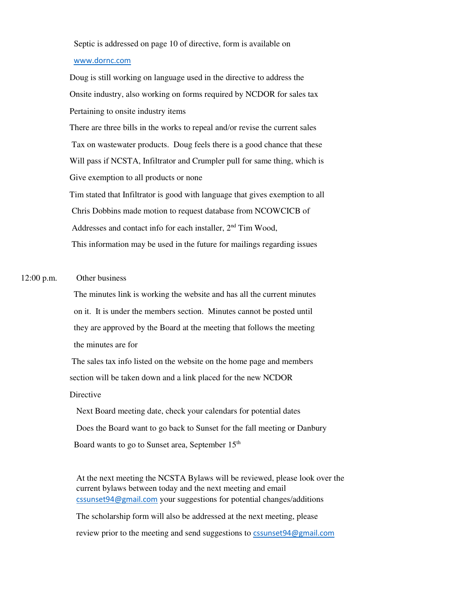Septic is addressed on page 10 of directive, form is available on

### www.dornc.com

 Doug is still working on language used in the directive to address the Onsite industry, also working on forms required by NCDOR for sales tax Pertaining to onsite industry items

 There are three bills in the works to repeal and/or revise the current sales Tax on wastewater products. Doug feels there is a good chance that these Will pass if NCSTA, Infiltrator and Crumpler pull for same thing, which is Give exemption to all products or none

 Tim stated that Infiltrator is good with language that gives exemption to all Chris Dobbins made motion to request database from NCOWCICB of Addresses and contact info for each installer, 2<sup>nd</sup> Tim Wood, This information may be used in the future for mailings regarding issues

# 12:00 p.m. Other business

 The minutes link is working the website and has all the current minutes on it. It is under the members section. Minutes cannot be posted until they are approved by the Board at the meeting that follows the meeting the minutes are for

 The sales tax info listed on the website on the home page and members section will be taken down and a link placed for the new NCDOR Directive

 Next Board meeting date, check your calendars for potential dates Does the Board want to go back to Sunset for the fall meeting or Danbury Board wants to go to Sunset area, September 15<sup>th</sup>

> At the next meeting the NCSTA Bylaws will be reviewed, please look over the current bylaws between today and the next meeting and email cssunset94@gmail.com your suggestions for potential changes/additions

The scholarship form will also be addressed at the next meeting, please review prior to the meeting and send suggestions to cssunset94@gmail.com